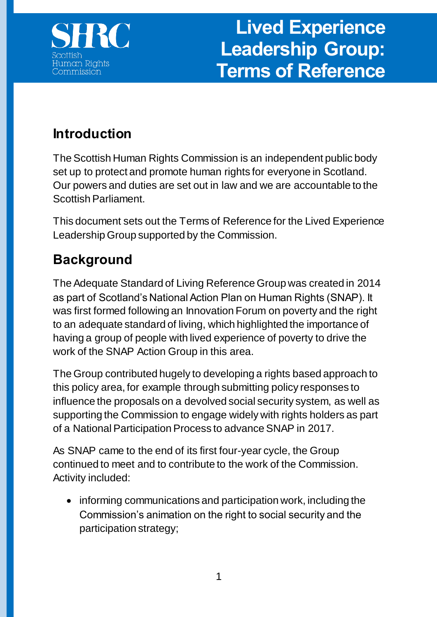

## **Introduction**

The Scottish Human Rights Commission is an independent public body set up to protect and promote human rights for everyone in Scotland. Our powers and duties are set out in law and we are accountable to the Scottish Parliament.

This document sets out the Terms of Reference for the Lived Experience Leadership Group supported by the Commission.

# **Background**

The Adequate Standard of Living Reference Group was created in 2014 as part of Scotland's National Action Plan on Human Rights (SNAP). It was first formed following an Innovation Forum on poverty and the right to an adequate standard of living, which highlighted the importance of having a group of people with lived experience of poverty to drive the work of the SNAP Action Group in this area.

The Group contributed hugely to developing a rights based approach to this policy area, for example through submitting policy responses to influence the proposals on a devolved social security system, as well as supporting the Commission to engage widely with rights holders as part of a National Participation Process to advance SNAP in 2017.

As SNAP came to the end of its first four-year cycle, the Group continued to meet and to contribute to the work of the Commission. Activity included:

• informing communications and participation work, including the Commission's animation on the right to social security and the participation strategy;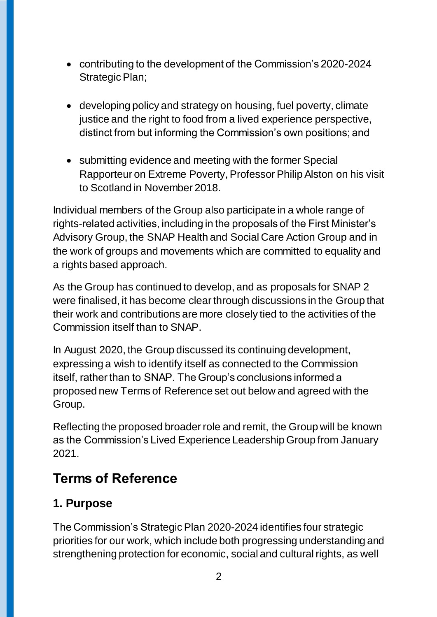- contributing to the development of the Commission's 2020-2024 Strategic Plan;
- developing policy and strategy on housing, fuel poverty, climate justice and the right to food from a lived experience perspective, distinct from but informing the Commission's own positions; and
- submitting evidence and meeting with the former Special Rapporteur on Extreme Poverty, Professor Philip Alston on his visit to Scotland in November 2018.

Individual members of the Group also participate in a whole range of rights-related activities, including in the proposals of the First Minister's Advisory Group, the SNAP Health and Social Care Action Group and in the work of groups and movements which are committed to equality and a rights based approach.

As the Group has continued to develop, and as proposals for SNAP 2 were finalised, it has become clear through discussions in the Group that their work and contributions are more closely tied to the activities of the Commission itself than to SNAP.

In August 2020, the Group discussed its continuing development, expressing a wish to identify itself as connected to the Commission itself, rather than to SNAP. The Group's conclusions informed a proposed new Terms of Reference set out below and agreed with the Group.

Reflecting the proposed broader role and remit, the Group will be known as the Commission's Lived Experience Leadership Group from January 2021.

# **Terms of Reference**

#### **1. Purpose**

The Commission's Strategic Plan 2020-2024 identifies four strategic priorities for our work, which include both progressing understanding and strengthening protection for economic, social and cultural rights, as well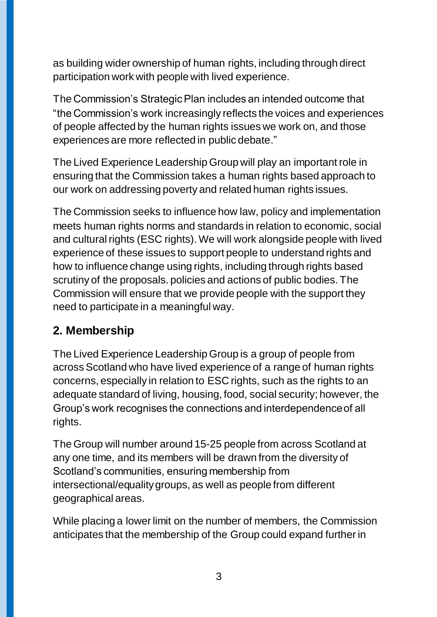as building wider ownership of human rights, including through direct participation work with people with lived experience.

The Commission's Strategic Plan includes an intended outcome that "the Commission's work increasingly reflects the voices and experiences of people affected by the human rights issues we work on, and those experiences are more reflected in public debate."

The Lived Experience Leadership Group will play an important role in ensuring that the Commission takes a human rights based approach to our work on addressing poverty and related human rights issues.

The Commission seeks to influence how law, policy and implementation meets human rights norms and standards in relation to economic, social and cultural rights (ESC rights). We will work alongside people with lived experience of these issues to support people to understand rights and how to influence change using rights, including through rights based scrutiny of the proposals. policies and actions of public bodies. The Commission will ensure that we provide people with the support they need to participate in a meaningful way.

## **2. Membership**

The Lived Experience Leadership Group is a group of people from across Scotland who have lived experience of a range of human rights concerns, especially in relation to ESC rights, such as the rights to an adequate standard of living, housing, food, social security; however, the Group's work recognises the connections and interdependence of all rights.

The Group will number around 15-25 people from across Scotland at any one time, and its members will be drawn from the diversity of Scotland's communities, ensuring membership from intersectional/equality groups, as well as people from different geographical areas.

While placing a lower limit on the number of members, the Commission anticipates that the membership of the Group could expand further in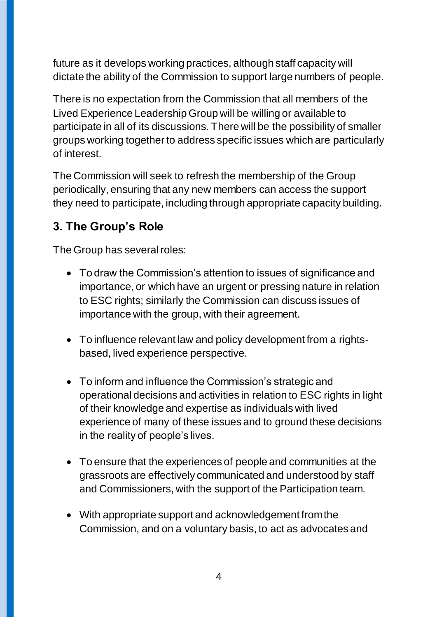future as it develops working practices, although staff capacity will dictate the ability of the Commission to support large numbers of people.

There is no expectation from the Commission that all members of the Lived Experience Leadership Group will be willing or available to participate in all of its discussions. There will be the possibility of smaller groups working together to address specific issues which are particularly of interest.

The Commission will seek to refresh the membership of the Group periodically, ensuring that any new members can access the support they need to participate, including through appropriate capacity building.

### **3. The Group's Role**

The Group has several roles:

- To draw the Commission's attention to issues of significance and importance, or which have an urgent or pressing nature in relation to ESC rights; similarly the Commission can discuss issues of importance with the group, with their agreement.
- To influence relevant law and policy development from a rightsbased, lived experience perspective.
- To inform and influence the Commission's strategic and operational decisions and activities in relation to ESC rights in light of their knowledge and expertise as individuals with lived experience of many of these issues and to ground these decisions in the reality of people's lives.
- To ensure that the experiences of people and communities at the grassroots are effectively communicated and understood by staff and Commissioners, with the support of the Participation team.
- With appropriate support and acknowledgement from the Commission, and on a voluntary basis, to act as advocates and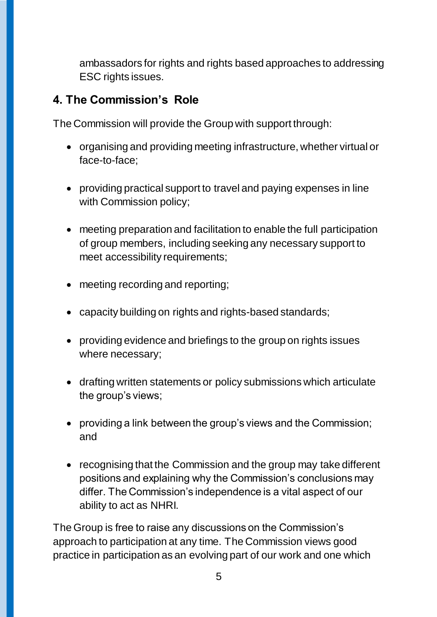ambassadors for rights and rights based approaches to addressing ESC rights issues.

#### **4. The Commission's Role**

The Commission will provide the Group with support through:

- organising and providing meeting infrastructure, whether virtual or face-to-face;
- providing practical support to travel and paying expenses in line with Commission policy;
- meeting preparation and facilitation to enable the full participation of group members, including seeking any necessary support to meet accessibility requirements;
- meeting recording and reporting;
- capacity building on rights and rights-based standards;
- providing evidence and briefings to the group on rights issues where necessary;
- drafting written statements or policy submissions which articulate the group's views;
- providing a link between the group's views and the Commission; and
- recognising that the Commission and the group may take different positions and explaining why the Commission's conclusions may differ. The Commission's independence is a vital aspect of our ability to act as NHRI.

The Group is free to raise any discussions on the Commission's approach to participation at any time. The Commission views good practice in participation as an evolving part of our work and one which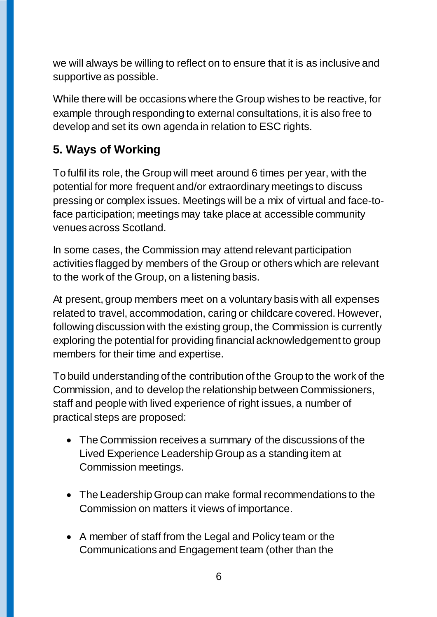we will always be willing to reflect on to ensure that it is as inclusive and supportive as possible.

While there will be occasions where the Group wishes to be reactive, for example through responding to external consultations, it is also free to develop and set its own agenda in relation to ESC rights.

### **5. Ways of Working**

To fulfil its role, the Group will meet around 6 times per year, with the potential for more frequent and/or extraordinary meetings to discuss pressing or complex issues. Meetings will be a mix of virtual and face-toface participation; meetings may take place at accessible community venues across Scotland.

In some cases, the Commission may attend relevant participation activities flagged by members of the Group or others which are relevant to the work of the Group, on a listening basis.

At present, group members meet on a voluntary basis with all expenses related to travel, accommodation, caring or childcare covered. However, following discussion with the existing group, the Commission is currently exploring the potential for providing financial acknowledgement to group members for their time and expertise.

To build understanding of the contribution of the Group to the work of the Commission, and to develop the relationship between Commissioners, staff and people with lived experience of right issues, a number of practical steps are proposed:

- The Commission receives a summary of the discussions of the Lived Experience Leadership Group as a standing item at Commission meetings.
- The Leadership Group can make formal recommendations to the Commission on matters it views of importance.
- A member of staff from the Legal and Policy team or the Communications and Engagement team (other than the